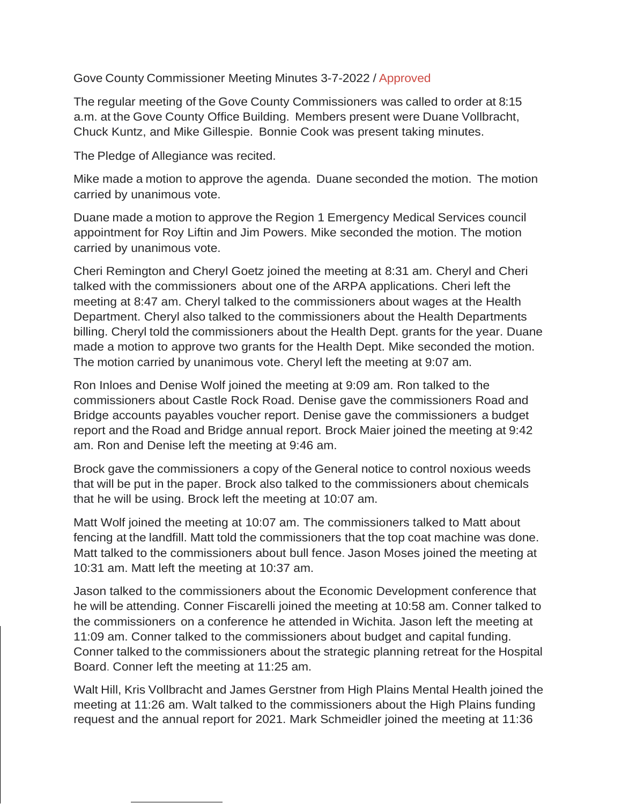## Gove County Commissioner Meeting Minutes 3-7-2022 / Approved

The regular meeting of the Gove County Commissioners was called to order at 8:15 a.m. at the Gove County Office Building. Members present were Duane Vollbracht, Chuck Kuntz, and Mike Gillespie. Bonnie Cook was present taking minutes.

The Pledge of Allegiance was recited.

Mike made a motion to approve the agenda. Duane seconded the motion. The motion carried by unanimous vote.

Duane made a motion to approve the Region 1 Emergency Medical Services council appointment for Roy Liftin and Jim Powers. Mike seconded the motion. The motion carried by unanimous vote.

Cheri Remington and Cheryl Goetz joined the meeting at 8:31 am. Cheryl and Cheri talked with the commissioners about one of the ARPA applications. Cheri left the meeting at 8:47 am. Cheryl talked to the commissioners about wages at the Health Department. Cheryl also talked to the commissioners about the Health Departments billing. Cheryl told the commissioners about the Health Dept. grants for the year. Duane made a motion to approve two grants for the Health Dept. Mike seconded the motion. The motion carried by unanimous vote. Cheryl left the meeting at 9:07 am.

Ron Inloes and Denise Wolf joined the meeting at 9:09 am. Ron talked to the commissioners about Castle Rock Road. Denise gave the commissioners Road and Bridge accounts payables voucher report. Denise gave the commissioners a budget report and the Road and Bridge annual report. Brock Maier joined the meeting at 9:42 am. Ron and Denise left the meeting at 9:46 am.

Brock gave the commissioners a copy of the General notice to control noxious weeds that will be put in the paper. Brock also talked to the commissioners about chemicals that he will be using. Brock left the meeting at 10:07 am.

Matt Wolf joined the meeting at 10:07 am. The commissioners talked to Matt about fencing at the landfill. Matt told the commissioners that the top coat machine was done. Matt talked to the commissioners about bull fence. Jason Moses joined the meeting at 10:31 am. Matt left the meeting at 10:37 am.

Jason talked to the commissioners about the Economic Development conference that he will be attending. Conner Fiscarelli joined the meeting at 10:58 am. Conner talked to the commissioners on a conference he attended in Wichita. Jason left the meeting at 11:09 am. Conner talked to the commissioners about budget and capital funding. Conner talked to the commissioners about the strategic planning retreat for the Hospital Board. Conner left the meeting at 11:25 am.

Walt Hill, Kris Vollbracht and James Gerstner from High Plains Mental Health joined the meeting at 11:26 am. Walt talked to the commissioners about the High Plains funding request and the annual report for 2021. Mark Schmeidler joined the meeting at 11:36